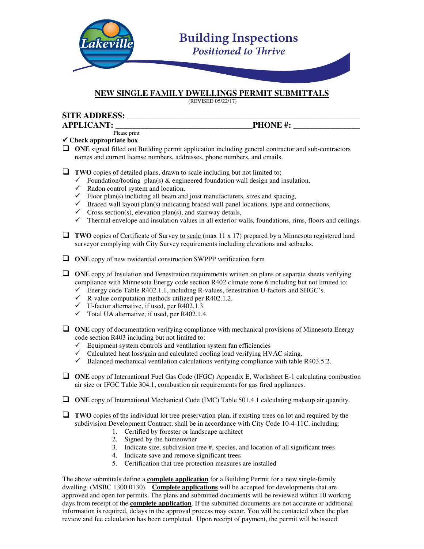

### **NEW SINGLE FAMILY DWELLINGS PERMIT SUBMITTALS**

(REVISED 05/22/17)

## **SITE ADDRESS: \_\_\_\_\_\_\_\_\_\_\_\_\_\_\_\_\_\_\_\_\_\_\_\_\_\_\_\_\_\_\_\_\_\_\_\_\_\_\_\_\_\_\_\_\_\_\_\_\_\_\_\_\_\_\_\_**

**APPLICANT: \_\_\_\_\_\_\_\_\_\_\_\_\_\_\_\_\_\_\_\_\_\_\_\_\_\_\_\_\_\_\_\_\_PHONE #: \_\_\_\_\_\_\_\_\_\_\_\_\_\_\_\_** Please print

#### **Check appropriate box**

- **TWO** copies of detailed plans, drawn to scale including but not limited to;
	- $\checkmark$  Foundation/footing plan(s) & engineered foundation wall design and insulation,
	- $\checkmark$  Radon control system and location,
	- $\checkmark$  Floor plan(s) including all beam and joist manufacturers, sizes and spacing,
	- $\checkmark$  Braced wall layout plan(s) indicating braced wall panel locations, type and connections,
	- $\checkmark$  Cross section(s), elevation plan(s), and stairway details,
	- $\checkmark$  Thermal envelope and insulation values in all exterior walls, foundations, rims, floors and ceilings.
- □ TWO copies of Certificate of Survey to scale (max 11 x 17) prepared by a Minnesota registered land surveyor complying with City Survey requirements including elevations and setbacks.
- **ONE** copy of new residential construction SWPPP verification form
- **I** ONE copy of Insulation and Fenestration requirements written on plans or separate sheets verifying compliance with Minnesota Energy code section R402 climate zone 6 including but not limited to:
	- $\checkmark$  Energy code Table R402.1.1, including R-values, fenestration U-factors and SHGC's.
	- $\checkmark$  R-value computation methods utilized per R402.1.2.
	- $\checkmark$  U-factor alternative, if used, per R402.1.3.
	- $\checkmark$  Total UA alternative, if used, per R402.1.4.
- **ONE** copy of documentation verifying compliance with mechanical provisions of Minnesota Energy code section R403 including but not limited to:
	- $\checkmark$  Equipment system controls and ventilation system fan efficiencies
	- $\checkmark$  Calculated heat loss/gain and calculated cooling load verifying HVAC sizing.
	- $\checkmark$  Balanced mechanical ventilation calculations verifying compliance with table R403.5.2.
- □ ONE copy of International Fuel Gas Code (IFGC) Appendix E, Worksheet E-1 calculating combustion air size or IFGC Table 304.1, combustion air requirements for gas fired appliances.
- □ ONE copy of International Mechanical Code (IMC) Table 501.4.1 calculating makeup air quantity.

**TWO** copies of the individual lot tree preservation plan, if existing trees on lot and required by the subdivision Development Contract, shall be in accordance with City Code 10-4-11C. including:

- 1. Certified by forester or landscape architect
- 2. Signed by the homeowner
- 3. Indicate size, subdivision tree #, species, and location of all significant trees
- 4. Indicate save and remove significant trees
- 5. Certification that tree protection measures are installed

The above submittals define a **complete application** for a Building Permit for a new single-family dwelling. (MSBC 1300.0130). **Complete applications** will be accepted for developments that are approved and open for permits. The plans and submitted documents will be reviewed within 10 working days from receipt of the **complete application**. If the submitted documents are not accurate or additional information is required, delays in the approval process may occur. You will be contacted when the plan review and fee calculation has been completed. Upon receipt of payment, the permit will be issued.

<sup>□</sup> ONE signed filled out Building permit application including general contractor and sub-contractors names and current license numbers, addresses, phone numbers, and emails.